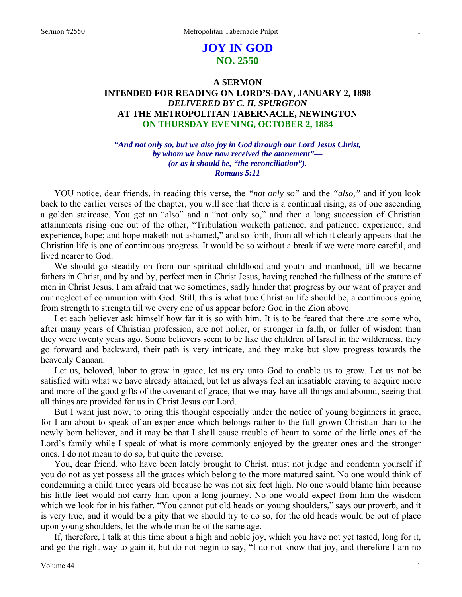# **JOY IN GOD NO. 2550**

# **A SERMON INTENDED FOR READING ON LORD'S-DAY, JANUARY 2, 1898**  *DELIVERED BY C. H. SPURGEON*  **AT THE METROPOLITAN TABERNACLE, NEWINGTON ON THURSDAY EVENING, OCTOBER 2, 1884**

*"And not only so, but we also joy in God through our Lord Jesus Christ, by whom we have now received the atonement"— (or as it should be, "the reconciliation"). Romans 5:11* 

YOU notice, dear friends, in reading this verse, the *"not only so"* and the *"also,"* and if you look back to the earlier verses of the chapter, you will see that there is a continual rising, as of one ascending a golden staircase. You get an "also" and a "not only so," and then a long succession of Christian attainments rising one out of the other, "Tribulation worketh patience; and patience, experience; and experience, hope; and hope maketh not ashamed," and so forth, from all which it clearly appears that the Christian life is one of continuous progress. It would be so without a break if we were more careful, and lived nearer to God.

We should go steadily on from our spiritual childhood and youth and manhood, till we became fathers in Christ, and by and by, perfect men in Christ Jesus, having reached the fullness of the stature of men in Christ Jesus. I am afraid that we sometimes, sadly hinder that progress by our want of prayer and our neglect of communion with God. Still, this is what true Christian life should be, a continuous going from strength to strength till we every one of us appear before God in the Zion above.

Let each believer ask himself how far it is so with him. It is to be feared that there are some who, after many years of Christian profession, are not holier, or stronger in faith, or fuller of wisdom than they were twenty years ago. Some believers seem to be like the children of Israel in the wilderness, they go forward and backward, their path is very intricate, and they make but slow progress towards the heavenly Canaan.

Let us, beloved, labor to grow in grace, let us cry unto God to enable us to grow. Let us not be satisfied with what we have already attained, but let us always feel an insatiable craving to acquire more and more of the good gifts of the covenant of grace, that we may have all things and abound, seeing that all things are provided for us in Christ Jesus our Lord.

But I want just now, to bring this thought especially under the notice of young beginners in grace, for I am about to speak of an experience which belongs rather to the full grown Christian than to the newly born believer, and it may be that I shall cause trouble of heart to some of the little ones of the Lord's family while I speak of what is more commonly enjoyed by the greater ones and the stronger ones. I do not mean to do so*,* but quite the reverse.

You, dear friend, who have been lately brought to Christ, must not judge and condemn yourself if you do not as yet possess all the graces which belong to the more matured saint. No one would think of condemning a child three years old because he was not six feet high. No one would blame him because his little feet would not carry him upon a long journey. No one would expect from him the wisdom which we look for in his father. "You cannot put old heads on young shoulders," says our proverb, and it is very true, and it would be a pity that we should try to do so, for the old heads would be out of place upon young shoulders, let the whole man be of the same age.

If, therefore, I talk at this time about a high and noble joy, which you have not yet tasted, long for it, and go the right way to gain it, but do not begin to say, "I do not know that joy, and therefore I am no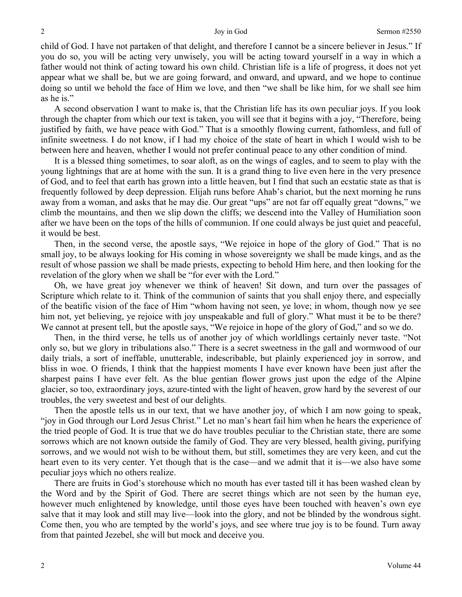child of God. I have not partaken of that delight, and therefore I cannot be a sincere believer in Jesus*.*" If you do so, you will be acting very unwisely, you will be acting toward yourself in a way in which a father would not think of acting toward his own child. Christian life is a life of progress, it does not yet appear what we shall be, but we are going forward, and onward, and upward, and we hope to continue doing so until we behold the face of Him we love, and then "we shall be like him, for we shall see him as he is."

A second observation I want to make is, that the Christian life has its own peculiar joys. If you look through the chapter from which our text is taken, you will see that it begins with a joy, "Therefore, being justified by faith, we have peace with God." That is a smoothly flowing current, fathomless, and full of infinite sweetness. I do not know, if I had my choice of the state of heart in which I would wish to be between here and heaven, whether I would not prefer continual peace to any other condition of mind.

It is a blessed thing sometimes, to soar aloft, as on the wings of eagles, and to seem to play with the young lightnings that are at home with the sun. It is a grand thing to live even here in the very presence of God, and to feel that earth has grown into a little heaven, but I find that such an ecstatic state as that is frequently followed by deep depression. Elijah runs before Ahab's chariot, but the next morning he runs away from a woman, and asks that he may die. Our great "ups" are not far off equally great "downs," we climb the mountains, and then we slip down the cliffs; we descend into the Valley of Humiliation soon after we have been on the tops of the hills of communion. If one could always be just quiet and peaceful, it would be best.

Then, in the second verse, the apostle says, "We rejoice in hope of the glory of God." That is no small joy, to be always looking for His coming in whose sovereignty we shall be made kings, and as the result of whose passion we shall be made priests, expecting to behold Him here, and then looking for the revelation of the glory when we shall be "for ever with the Lord."

Oh, we have great joy whenever we think of heaven! Sit down, and turn over the passages of Scripture which relate to it. Think of the communion of saints that you shall enjoy there, and especially of the beatific vision of the face of Him "whom having not seen, ye love; in whom, though now ye see him not, yet believing, ye rejoice with joy unspeakable and full of glory." What must it be to be there? We cannot at present tell, but the apostle says, "We rejoice in hope of the glory of God," and so we do.

Then, in the third verse, he tells us of another joy of which worldlings certainly never taste. "Not only so, but we glory in tribulations also." There is a secret sweetness in the gall and wormwood of our daily trials, a sort of ineffable, unutterable, indescribable, but plainly experienced joy in sorrow, and bliss in woe. O friends, I think that the happiest moments I have ever known have been just after the sharpest pains I have ever felt. As the blue gentian flower grows just upon the edge of the Alpine glacier, so too, extraordinary joys, azure-tinted with the light of heaven, grow hard by the severest of our troubles, the very sweetest and best of our delights.

Then the apostle tells us in our text, that we have another joy*,* of which I am now going to speak, "joy in God through our Lord Jesus Christ." Let no man's heart fail him when he hears the experience of the tried people of God. It is true that we do have troubles peculiar to the Christian state, there are some sorrows which are not known outside the family of God. They are very blessed, health giving, purifying sorrows, and we would not wish to be without them, but still, sometimes they are very keen, and cut the heart even to its very center. Yet though that is the case—and we admit that it is—we also have some peculiar joys which no others realize.

There are fruits in God's storehouse which no mouth has ever tasted till it has been washed clean by the Word and by the Spirit of God. There are secret things which are not seen by the human eye, however much enlightened by knowledge, until those eyes have been touched with heaven's own eye salve that it may look and still may live—look into the glory, and not be blinded by the wondrous sight. Come then, you who are tempted by the world's joys, and see where true joy is to be found. Turn away from that painted Jezebel, she will but mock and deceive you.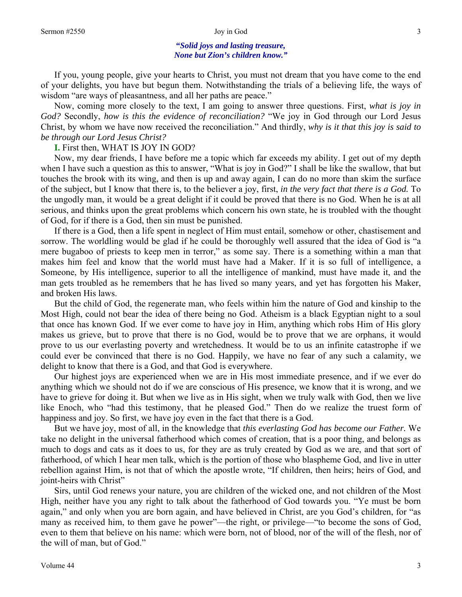### **"***Solid joys and lasting treasure, None but Zion's children know."*

If you, young people, give your hearts to Christ, you must not dream that you have come to the end of your delights, you have but begun them. Notwithstanding the trials of a believing life, the ways of wisdom "are ways of pleasantness, and all her paths are peace."

Now, coming more closely to the text, I am going to answer three questions. First, *what is joy in God?* Secondly, *how is this the evidence of reconciliation?* "We joy in God through our Lord Jesus Christ, by whom we have now received the reconciliation." And thirdly, *why is it that this joy is said to be through our Lord Jesus Christ?* 

### **I.** First then, WHAT IS JOY IN GOD?

Now, my dear friends, I have before me a topic which far exceeds my ability. I get out of my depth when I have such a question as this to answer, "What is joy in God?" I shall be like the swallow, that but touches the brook with its wing, and then is up and away again, I can do no more than skim the surface of the subject, but I know that there is, to the believer a joy, first, *in the very fact that there is a God.* To the ungodly man, it would be a great delight if it could be proved that there is no God. When he is at all serious, and thinks upon the great problems which concern his own state, he is troubled with the thought of God, for if there is a God, then sin must be punished.

If there is a God, then a life spent in neglect of Him must entail, somehow or other, chastisement and sorrow. The worldling would be glad if he could be thoroughly well assured that the idea of God is "a mere bugaboo of priests to keep men in terror," as some say. There is a something within a man that makes him feel and know that the world must have had a Maker. If it is so full of intelligence, a Someone, by His intelligence, superior to all the intelligence of mankind, must have made it, and the man gets troubled as he remembers that he has lived so many years, and yet has forgotten his Maker, and broken His laws.

But the child of God, the regenerate man, who feels within him the nature of God and kinship to the Most High, could not bear the idea of there being no God. Atheism is a black Egyptian night to a soul that once has known God. If we ever come to have joy in Him, anything which robs Him of His glory makes us grieve, but to prove that there is no God, would be to prove that we are orphans, it would prove to us our everlasting poverty and wretchedness. It would be to us an infinite catastrophe if we could ever be convinced that there is no God. Happily, we have no fear of any such a calamity, we delight to know that there is a God, and that God is everywhere.

Our highest joys are experienced when we are in His most immediate presence, and if we ever do anything which we should not do if we are conscious of His presence, we know that it is wrong, and we have to grieve for doing it. But when we live as in His sight, when we truly walk with God, then we live like Enoch, who "had this testimony, that he pleased God." Then do we realize the truest form of happiness and joy. So first, we have joy even in the fact that there is a God.

But we have joy, most of all, in the knowledge that *this everlasting God has become our Father.* We take no delight in the universal fatherhood which comes of creation, that is a poor thing, and belongs as much to dogs and cats as it does to us, for they are as truly created by God as we are, and that sort of fatherhood, of which I hear men talk, which is the portion of those who blaspheme God, and live in utter rebellion against Him, is not that of which the apostle wrote, "If children, then heirs; heirs of God, and joint-heirs with Christ"

Sirs, until God renews your nature, you are children of the wicked one, and not children of the Most High, neither have you any right to talk about the fatherhood of God towards you. "Ye must be born again," and only when you are born again, and have believed in Christ, are you God's children, for "as many as received him, to them gave he power"—the right, or privilege—"to become the sons of God, even to them that believe on his name: which were born, not of blood, nor of the will of the flesh, nor of the will of man, but of God."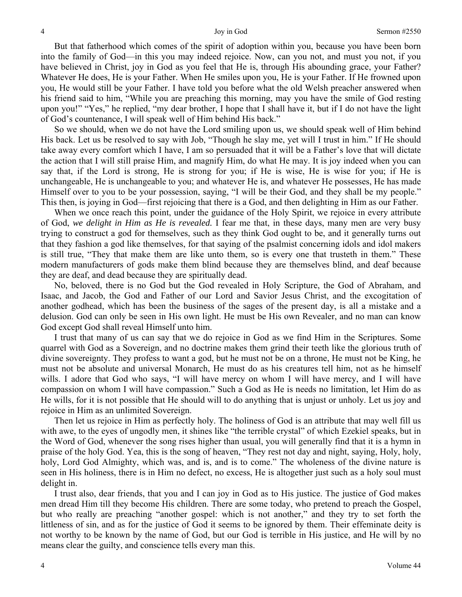But that fatherhood which comes of the spirit of adoption within you, because you have been born into the family of God—in this you may indeed rejoice. Now, can you not, and must you not, if you have believed in Christ, joy in God as you feel that He is, through His abounding grace, your Father? Whatever He does, He is your Father. When He smiles upon you, He is your Father. If He frowned upon you, He would still be your Father. I have told you before what the old Welsh preacher answered when his friend said to him, "While you are preaching this morning, may you have the smile of God resting upon you!" "Yes," he replied, "my dear brother, I hope that I shall have it, but if I do not have the light of God's countenance, I will speak well of Him behind His back."

So we should, when we do not have the Lord smiling upon us, we should speak well of Him behind His back. Let us be resolved to say with Job, "Though he slay me, yet will I trust in him." If He should take away every comfort which I have, I am so persuaded that it will be a Father's love that will dictate the action that I will still praise Him, and magnify Him, do what He may. It is joy indeed when you can say that, if the Lord is strong, He is strong for you; if He is wise, He is wise for you; if He is unchangeable, He is unchangeable to you; and whatever He is, and whatever He possesses, He has made Himself over to you to be your possession, saying, "I will be their God, and they shall be my people." This then, is joying in God—first rejoicing that there is a God, and then delighting in Him as our Father.

When we once reach this point, under the guidance of the Holy Spirit, we rejoice in every attribute of God, *we delight in Him as He is revealed.* I fear me that, in these days, many men are very busy trying to construct a god for themselves, such as they think God ought to be, and it generally turns out that they fashion a god like themselves, for that saying of the psalmist concerning idols and idol makers is still true, "They that make them are like unto them, so is every one that trusteth in them." These modern manufacturers of gods make them blind because they are themselves blind, and deaf because they are deaf, and dead because they are spiritually dead.

No, beloved, there is no God but the God revealed in Holy Scripture, the God of Abraham, and Isaac, and Jacob, the God and Father of our Lord and Savior Jesus Christ, and the excogitation of another godhead, which has been the business of the sages of the present day, is all a mistake and a delusion. God can only be seen in His own light. He must be His own Revealer, and no man can know God except God shall reveal Himself unto him.

I trust that many of us can say that we do rejoice in God as we find Him in the Scriptures. Some quarrel with God as a Sovereign, and no doctrine makes them grind their teeth like the glorious truth of divine sovereignty. They profess to want a god, but he must not be on a throne, He must not be King, he must not be absolute and universal Monarch, He must do as his creatures tell him, not as he himself wills. I adore that God who says, "I will have mercy on whom I will have mercy, and I will have compassion on whom I will have compassion." Such a God as He is needs no limitation, let Him do as He wills, for it is not possible that He should will to do anything that is unjust or unholy. Let us joy and rejoice in Him as an unlimited Sovereign.

Then let us rejoice in Him as perfectly holy. The holiness of God is an attribute that may well fill us with awe, to the eyes of ungodly men, it shines like "the terrible crystal" of which Ezekiel speaks, but in the Word of God, whenever the song rises higher than usual, you will generally find that it is a hymn in praise of the holy God. Yea, this is the song of heaven, "They rest not day and night, saying, Holy, holy, holy, Lord God Almighty, which was, and is, and is to come." The wholeness of the divine nature is seen in His holiness, there is in Him no defect, no excess, He is altogether just such as a holy soul must delight in.

I trust also, dear friends, that you and I can joy in God as to His justice. The justice of God makes men dread Him till they become His children. There are some today, who pretend to preach the Gospel, but who really are preaching "another gospel: which is not another," and they try to set forth the littleness of sin, and as for the justice of God it seems to be ignored by them. Their effeminate deity is not worthy to be known by the name of God, but our God is terrible in His justice, and He will by no means clear the guilty, and conscience tells every man this.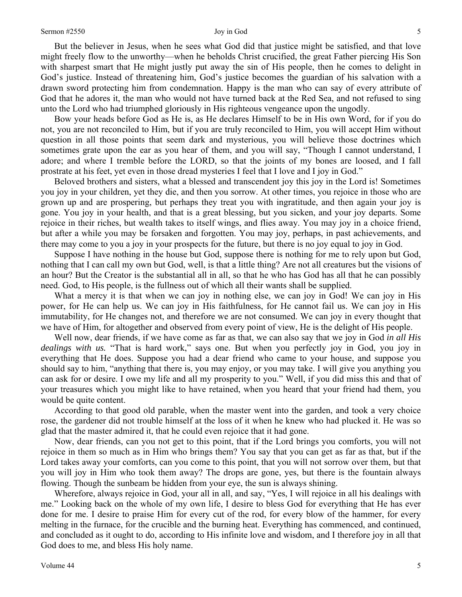But the believer in Jesus, when he sees what God did that justice might be satisfied, and that love might freely flow to the unworthy—when he beholds Christ crucified, the great Father piercing His Son with sharpest smart that He might justly put away the sin of His people, then he comes to delight in God's justice. Instead of threatening him, God's justice becomes the guardian of his salvation with a drawn sword protecting him from condemnation. Happy is the man who can say of every attribute of God that he adores it, the man who would not have turned back at the Red Sea, and not refused to sing unto the Lord who had triumphed gloriously in His righteous vengeance upon the ungodly.

Bow your heads before God as He is, as He declares Himself to be in His own Word, for if you do not, you are not reconciled to Him, but if you are truly reconciled to Him, you will accept Him without question in all those points that seem dark and mysterious, you will believe those doctrines which sometimes grate upon the ear as you hear of them, and you will say, "Though I cannot understand, I adore; and where I tremble before the LORD, so that the joints of my bones are loosed, and I fall prostrate at his feet, yet even in those dread mysteries I feel that I love and I joy in God."

Beloved brothers and sisters, what a blessed and transcendent joy this joy in the Lord is! Sometimes you joy in your children, yet they die, and then you sorrow. At other times, you rejoice in those who are grown up and are prospering, but perhaps they treat you with ingratitude, and then again your joy is gone. You joy in your health, and that is a great blessing, but you sicken, and your joy departs. Some rejoice in their riches, but wealth takes to itself wings, and flies away. You may joy in a choice friend, but after a while you may be forsaken and forgotten. You may joy, perhaps, in past achievements, and there may come to you a joy in your prospects for the future, but there is no joy equal to joy in God.

Suppose I have nothing in the house but God, suppose there is nothing for me to rely upon but God, nothing that I can call my own but God, well, is that a little thing? Are not all creatures but the visions of an hour? But the Creator is the substantial all in all, so that he who has God has all that he can possibly need. God, to His people, is the fullness out of which all their wants shall be supplied.

What a mercy it is that when we can joy in nothing else, we can joy in God! We can joy in His power, for He can help us. We can joy in His faithfulness, for He cannot fail us. We can joy in His immutability, for He changes not, and therefore we are not consumed. We can joy in every thought that we have of Him, for altogether and observed from every point of view, He is the delight of His people.

Well now, dear friends, if we have come as far as that, we can also say that we joy in God *in all His dealings with us.* "That is hard work," says one. But when you perfectly joy in God, you joy in everything that He does. Suppose you had a dear friend who came to your house, and suppose you should say to him, "anything that there is, you may enjoy, or you may take. I will give you anything you can ask for or desire. I owe my life and all my prosperity to you." Well, if you did miss this and that of your treasures which you might like to have retained, when you heard that your friend had them, you would be quite content.

According to that good old parable, when the master went into the garden, and took a very choice rose, the gardener did not trouble himself at the loss of it when he knew who had plucked it. He was so glad that the master admired it, that he could even rejoice that it had gone.

Now, dear friends, can you not get to this point, that if the Lord brings you comforts, you will not rejoice in them so much as in Him who brings them? You say that you can get as far as that, but if the Lord takes away your comforts, can you come to this point, that you will not sorrow over them, but that you will joy in Him who took them away? The drops are gone, yes, but there is the fountain always flowing. Though the sunbeam be hidden from your eye, the sun is always shining.

Wherefore, always rejoice in God, your all in all, and say, "Yes, I will rejoice in all his dealings with me." Looking back on the whole of my own life, I desire to bless God for everything that He has ever done for me. I desire to praise Him for every cut of the rod, for every blow of the hammer, for every melting in the furnace, for the crucible and the burning heat. Everything has commenced, and continued, and concluded as it ought to do, according to His infinite love and wisdom, and I therefore joy in all that God does to me, and bless His holy name.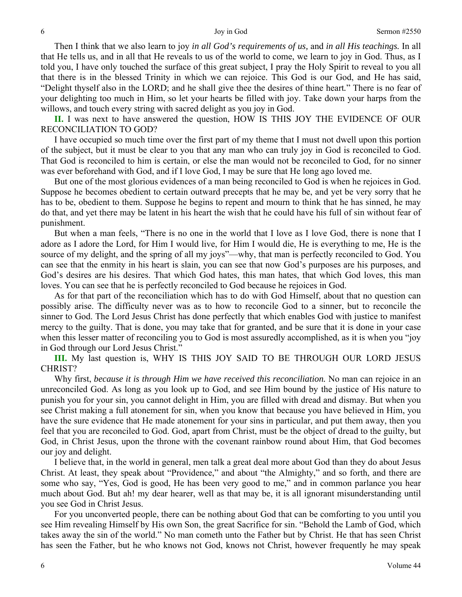Then I think that we also learn to joy *in all God's requirements of us,* and *in all His teachings.* In all that He tells us, and in all that He reveals to us of the world to come, we learn to joy in God. Thus, as I told you, I have only touched the surface of this great subject, I pray the Holy Spirit to reveal to you all that there is in the blessed Trinity in which we can rejoice. This God is our God, and He has said, "Delight thyself also in the LORD; and he shall give thee the desires of thine heart*.*" There is no fear of your delighting too much in Him, so let your hearts be filled with joy. Take down your harps from the willows, and touch every string with sacred delight as you joy in God.

**II.** I was next to have answered the question, HOW IS THIS JOY THE EVIDENCE OF OUR RECONCILIATION TO GOD?

I have occupied so much time over the first part of my theme that I must not dwell upon this portion of the subject, but it must be clear to you that any man who can truly joy in God is reconciled to God. That God is reconciled to him is certain, or else the man would not be reconciled to God, for no sinner was ever beforehand with God, and if I love God, I may be sure that He long ago loved me.

But one of the most glorious evidences of a man being reconciled to God is when he rejoices in God. Suppose he becomes obedient to certain outward precepts that he may be, and yet be very sorry that he has to be, obedient to them. Suppose he begins to repent and mourn to think that he has sinned, he may do that, and yet there may be latent in his heart the wish that he could have his full of sin without fear of punishment.

But when a man feels, "There is no one in the world that I love as I love God, there is none that I adore as I adore the Lord, for Him I would live, for Him I would die, He is everything to me, He is the source of my delight, and the spring of all my joys"—why, that man is perfectly reconciled to God. You can see that the enmity in his heart is slain, you can see that now God's purposes are his purposes, and God's desires are his desires. That which God hates, this man hates, that which God loves, this man loves. You can see that he is perfectly reconciled to God because he rejoices in God.

As for that part of the reconciliation which has to do with God Himself, about that no question can possibly arise. The difficulty never was as to how to reconcile God to a sinner, but to reconcile the sinner to God. The Lord Jesus Christ has done perfectly that which enables God with justice to manifest mercy to the guilty. That is done, you may take that for granted, and be sure that it is done in your case when this lesser matter of reconciling you to God is most assuredly accomplished, as it is when you "joy in God through our Lord Jesus Christ."

**III.** My last question is, WHY IS THIS JOY SAID TO BE THROUGH OUR LORD JESUS CHRIST?

Why first, *because it is through Him we have received this reconciliation*. No man can rejoice in an unreconciled God. As long as you look up to God, and see Him bound by the justice of His nature to punish you for your sin, you cannot delight in Him, you are filled with dread and dismay. But when you see Christ making a full atonement for sin, when you know that because you have believed in Him, you have the sure evidence that He made atonement for your sins in particular, and put them away, then you feel that you are reconciled to God. God, apart from Christ, must be the object of dread to the guilty, but God, in Christ Jesus, upon the throne with the covenant rainbow round about Him, that God becomes our joy and delight.

I believe that, in the world in general, men talk a great deal more about God than they do about Jesus Christ. At least, they speak about "Providence," and about "the Almighty," and so forth, and there are some who say, "Yes, God is good, He has been very good to me," and in common parlance you hear much about God. But ah! my dear hearer, well as that may be, it is all ignorant misunderstanding until you see God in Christ Jesus.

For you unconverted people, there can be nothing about God that can be comforting to you until you see Him revealing Himself by His own Son, the great Sacrifice for sin. "Behold the Lamb of God, which takes away the sin of the world." No man cometh unto the Father but by Christ. He that has seen Christ has seen the Father, but he who knows not God, knows not Christ, however frequently he may speak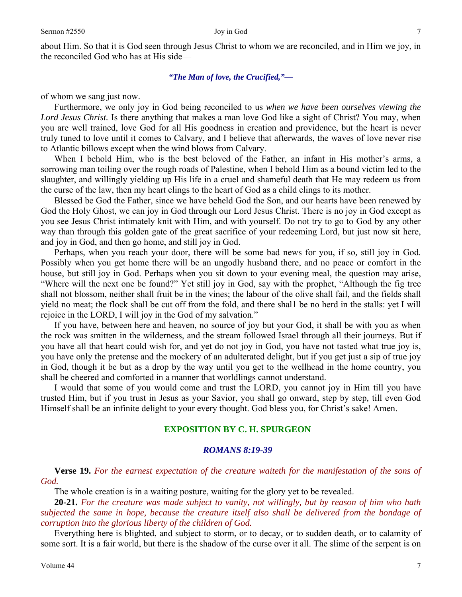about Him. So that it is God seen through Jesus Christ to whom we are reconciled, and in Him we joy, in the reconciled God who has at His side—

### *"The Man of love, the Crucified,"—*

of whom we sang just now.

Furthermore, we only joy in God being reconciled to us *when we have been ourselves viewing the Lord Jesus Christ.* Is there anything that makes a man love God like a sight of Christ? You may, when you are well trained, love God for all His goodness in creation and providence, but the heart is never truly tuned to love until it comes to Calvary, and I believe that afterwards, the waves of love never rise to Atlantic billows except when the wind blows from Calvary.

When I behold Him, who is the best beloved of the Father, an infant in His mother's arms, a sorrowing man toiling over the rough roads of Palestine, when I behold Him as a bound victim led to the slaughter, and willingly yielding up His life in a cruel and shameful death that He may redeem us from the curse of the law, then my heart clings to the heart of God as a child clings to its mother.

Blessed be God the Father, since we have beheld God the Son, and our hearts have been renewed by God the Holy Ghost, we can joy in God through our Lord Jesus Christ. There is no joy in God except as you see Jesus Christ intimately knit with Him, and with yourself. Do not try to go to God by any other way than through this golden gate of the great sacrifice of your redeeming Lord, but just now sit here, and joy in God, and then go home, and still joy in God.

Perhaps, when you reach your door, there will be some bad news for you, if so*,* still joy in God. Possibly when you get home there will be an ungodly husband there, and no peace or comfort in the house, but still joy in God. Perhaps when you sit down to your evening meal, the question may arise, "Where will the next one be found?" Yet still joy in God, say with the prophet, "Although the fig tree shall not blossom, neither shall fruit be in the vines; the labour of the olive shall fail, and the fields shall yield no meat; the flock shall be cut off from the fold, and there shal1 be no herd in the stalls: yet I will rejoice in the LORD, I will joy in the God of my salvation."

If you have, between here and heaven, no source of joy but your God, it shall be with you as when the rock was smitten in the wilderness, and the stream followed Israel through all their journeys. But if you have all that heart could wish for, and yet do not joy in God, you have not tasted what true joy is, you have only the pretense and the mockery of an adulterated delight, but if you get just a sip of true joy in God, though it be but as a drop by the way until you get to the wellhead in the home country, you shall be cheered and comforted in a manner that worldlings cannot understand.

I would that some of you would come and trust the LORD, you cannot joy in Him till you have trusted Him, but if you trust in Jesus as your Savior, you shall go onward, step by step*,* till even God Himself shall be an infinite delight to your every thought. God bless you, for Christ's sake! Amen.

### **EXPOSITION BY C. H. SPURGEON**

### *ROMANS 8:19-39*

**Verse 19.** *For the earnest expectation of the creature waiteth for the manifestation of the sons of God.* 

The whole creation is in a waiting posture, waiting for the glory yet to be revealed.

**20-21.** *For the creature was made subject to vanity, not willingly, but by reason of him who hath subjected the same in hope, because the creature itself also shall be delivered from the bondage of corruption into the glorious liberty of the children of God.* 

Everything here is blighted, and subject to storm, or to decay, or to sudden death, or to calamity of some sort. It is a fair world, but there is the shadow of the curse over it all. The slime of the serpent is on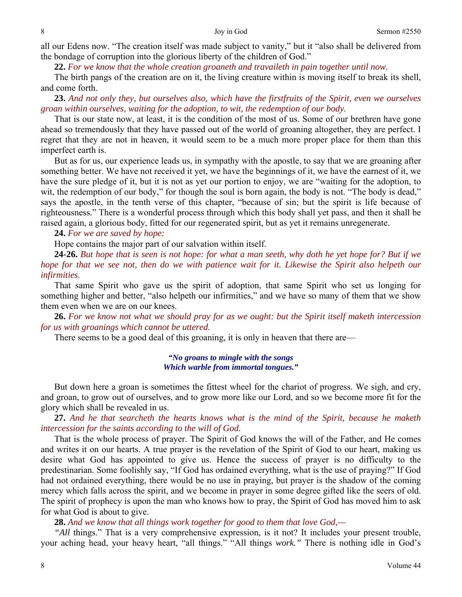all our Edens now. "The creation itself was made subject to vanity," but it "also shall be delivered from the bondage of corruption into the glorious liberty of the children of God."

**22.** *For we know that the whole creation groaneth and travaileth in pain together until now.* 

The birth pangs of the creation are on it, the living creature within is moving itself to break its shell, and come forth.

**23.** *And not only they, but ourselves also, which have the firstfruits of the Spirit, even we ourselves groan within ourselves, waiting for the adoption, to wit, the redemption of our body.* 

That is our state now, at least, it is the condition of the most of us. Some of our brethren have gone ahead so tremendously that they have passed out of the world of groaning altogether, they are perfect. I regret that they are not in heaven, it would seem to be a much more proper place for them than this imperfect earth is.

But as for us, our experience leads us, in sympathy with the apostle, to say that we are groaning after something better. We have not received it yet, we have the beginnings of it, we have the earnest of it, we have the sure pledge of it, but it is not as yet our portion to enjoy, we are "waiting for the adoption, to wit, the redemption of our body," for though the soul is born again, the body is not. "The body is dead," says the apostle, in the tenth verse of this chapter, "because of sin; but the spirit is life because of righteousness*.*" There is a wonderful process through which this body shall yet pass, and then it shall be raised again, a glorious body, fitted for our regenerated spirit, but as yet it remains unregenerate.

**24.** *For we are saved by hope:* 

Hope contains the major part of our salvation within itself.

**24-26.** *But hope that is seen is not hope: for what a man seeth, why doth he yet hope for? But if we hope for that we see not, then do we with patience wait for it. Likewise the Spirit also helpeth our infirmities.* 

That same Spirit who gave us the spirit of adoption, that same Spirit who set us longing for something higher and better, "also helpeth our infirmities," and we have so many of them that we show them even when we are on our knees.

**26.** *For we know not what we should pray for as we ought: but the Spirit itself maketh intercession for us with groanings which cannot be uttered.* 

There seems to be a good deal of this groaning, it is only in heaven that there are—

*"No groans to mingle with the songs Which warble from immortal tongues."* 

But down here a groan is sometimes the fittest wheel for the chariot of progress. We sigh, and cry, and groan, to grow out of ourselves, and to grow more like our Lord, and so we become more fit for the glory which shall be revealed in us.

**27.** *And he that searcheth the hearts knows what is the mind of the Spirit, because he maketh intercession for the saints according to the will of God.* 

That is the whole process of prayer. The Spirit of God knows the will of the Father, and He comes and writes it on our hearts. A true prayer is the revelation of the Spirit of God to our heart, making us desire what God has appointed to give us. Hence the success of prayer is no difficulty to the predestinarian. Some foolishly say, "If God has ordained everything, what is the use of praying?" If God had not ordained everything, there would be no use in praying, but prayer is the shadow of the coming mercy which falls across the spirit, and we become in prayer in some degree gifted like the seers of old. The spirit of prophecy is upon the man who knows how to pray, the Spirit of God has moved him to ask for what God is about to give.

**28.** *And we know that all things work together for good to them that love God,—* 

*All* things." That is a very comprehensive expression, is it not? It includes your present trouble, your aching head, your heavy heart, "all things." "All things *work."* There is nothing idle in God's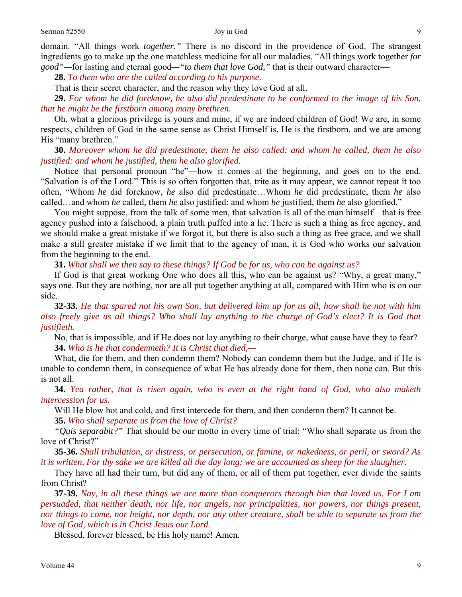domain. "All things work *together."* There is no discord in the providence of God. The strangest ingredients go to make up the one matchless medicine for all our maladies. "All things work together *for good"—*for lasting and eternal good*—"to them that love God,"* that is their outward character—

**28.** *To them who are the called according to his purpose.* 

That is their secret character, and the reason why they love God at all.

**29.** *For whom he did foreknow, he also did predestinate to be conformed to the image of his Son, that he might be the firstborn among many brethren.* 

Oh, what a glorious privilege is yours and mine, if we are indeed children of God! We are, in some respects, children of God in the same sense as Christ Himself is, He is the firstborn, and we are among His "many brethren."

**30.** *Moreover whom he did predestinate, them he also called: and whom he called, them he also justified: and whom he justified, them he also glorified.* 

Notice that personal pronoun "he"—how it comes at the beginning, and goes on to the end. "Salvation is of the Lord." This is so often forgotten that, trite as it may appear, we cannot repeat it too often, "Whom *he* did foreknow, *he* also did predestinate…Whom *he* did predestinate, them *he* also called…and whom *he* called, them *he* also justified: and whom *he* justified, them *he* also glorified."

You might suppose, from the talk of some men, that salvation is all of the man himself—that is free agency pushed into a falsehood, a plain truth puffed into a lie. There is such a thing as free agency, and we should make a great mistake if we forgot it, but there is also such a thing as free grace, and we shall make a still greater mistake if we limit that to the agency of man, it is God who works our salvation from the beginning to the end.

**31.** *What shall we then say to these things? If God be for us, who can be against us?* 

If God is that great working One who does all this, who can be against us? "Why, a great many," says one. But they are nothing, nor are all put together anything at all, compared with Him who is on our side.

**32-33.** *He that spared not his own Son, but delivered him up for us all, how shall he not with him also freely give us all things? Who shall lay anything to the charge of God's elect? It is God that justifieth.* 

No, that is impossible, and if He does not lay anything to their charge, what cause have they to fear? **34.** *Who is he that condemneth? It is Christ that died,—* 

What, die for them, and then condemn them? Nobody can condemn them but the Judge, and if He is unable to condemn them, in consequence of what He has already done for them, then none can. But this is not all.

**34.** *Yea rather, that is risen again, who is even at the right hand of God, who also maketh intercession for us.* 

Will He blow hot and cold, and first intercede for them, and then condemn them? It cannot be.

**35.** *Who shall separate us from the love of Christ?* 

*"Quis separabit?"* That should be our motto in every time of trial: "Who shall separate us from the love of Christ?"

**35-36.** *Shall tribulation, or distress, or persecution, or famine, or nakedness, or peril, or sword? As it is written, For thy sake we are killed all the day long; we are accounted as sheep for the slaughter.* 

They have all had their turn, but did any of them, or all of them put together, ever divide the saints from Christ?

**37-39.** *Nay, in all these things we are more than conquerors through him that loved us. For I am persuaded, that neither death, nor life, nor angels, nor principalities, nor powers, nor things present, nor things to come, nor height, nor depth, nor any other creature, shall be able to separate us from the love of God, which is in Christ Jesus our Lord.* 

Blessed, forever blessed, be His holy name! Amen.